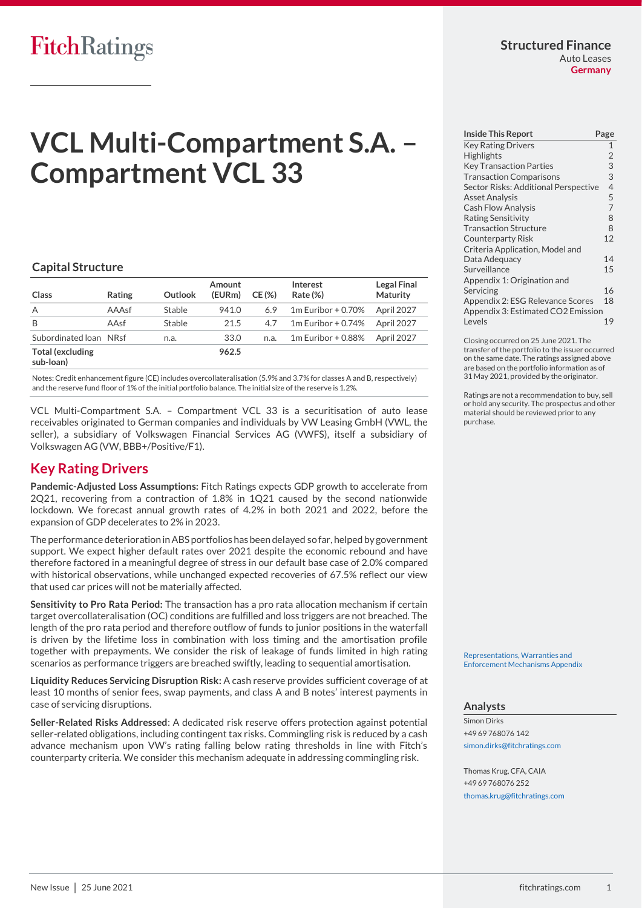# **FitchRatings**

#### **Structured Finance** Auto Leases **Germany**

# **VCL Multi-Compartment S.A. – Compartment VCL 33**

#### **Capital Structure**

| Class                                | Rating | Outlook | Amount<br>(EURm) | CE(%) | Interest<br>Rate (%) | <b>Legal Final</b><br>Maturity |
|--------------------------------------|--------|---------|------------------|-------|----------------------|--------------------------------|
| A                                    | AAAsf  | Stable  | 941.0            | 6.9   | $1m$ Euribor + 0.70% | April 2027                     |
| B                                    | AAsf   | Stable  | 21.5             | 4.7   | $1m$ Euribor + 0.74% | April 2027                     |
| Subordinated Ioan NRsf               |        | n.a.    | 33.0             | n.a.  | $1m$ Euribor + 0.88% | April 2027                     |
| <b>Total (excluding</b><br>sub-loan) |        |         | 962.5            |       |                      |                                |

Notes: Credit enhancement figure (CE) includes overcollateralisation (5.9% and 3.7% for classes A and B, respectively) and the reserve fund floor of 1% of the initial portfolio balance. The initial size of the reserve is 1.2%.

VCL Multi-Compartment S.A. – Compartment VCL 33 is a securitisation of auto lease receivables originated to German companies and individuals by VW Leasing GmbH (VWL, the seller), a subsidiary of Volkswagen Financial Services AG (VWFS), itself a subsidiary of Volkswagen AG (VW, BBB+/Positive/F1).

# <span id="page-0-0"></span>**Key Rating Drivers**

**Pandemic-Adjusted Loss Assumptions:** Fitch Ratings expects GDP growth to accelerate from 2Q21, recovering from a contraction of 1.8% in 1Q21 caused by the second nationwide lockdown. We forecast annual growth rates of 4.2% in both 2021 and 2022, before the expansion of GDP decelerates to 2% in 2023.

The performance deterioration in ABS portfolios has been delayed so far, helped by government support. We expect higher default rates over 2021 despite the economic rebound and have therefore factored in a meaningful degree of stress in our default base case of 2.0% compared with historical observations, while unchanged expected recoveries of 67.5% reflect our view that used car prices will not be materially affected.

**Sensitivity to Pro Rata Period:** The transaction has a pro rata allocation mechanism if certain target overcollateralisation (OC) conditions are fulfilled and loss triggers are not breached. The length of the pro rata period and therefore outflow of funds to junior positions in the waterfall is driven by the lifetime loss in combination with loss timing and the amortisation profile together with prepayments. We consider the risk of leakage of funds limited in high rating scenarios as performance triggers are breached swiftly, leading to sequential amortisation.

**Liquidity Reduces Servicing Disruption Risk:** A cash reserve provides sufficient coverage of at least 10 months of senior fees, swap payments, and class A and B notes' interest payments in case of servicing disruptions.

**Seller-Related Risks Addressed**: A dedicated risk reserve offers protection against potential seller-related obligations, including contingent tax risks. Commingling risk is reduced by a cash advance mechanism upon VW's rating falling below rating thresholds in line with Fitch's counterparty criteria. We consider this mechanism adequate in addressing commingling risk.

| <b>Inside This Report</b>            | Page           |  |
|--------------------------------------|----------------|--|
| <b>Key Rating Drivers</b>            | 1              |  |
| Highlights                           | $\overline{2}$ |  |
| <b>Key Transaction Parties</b>       | 3              |  |
| <b>Transaction Comparisons</b>       | 3              |  |
| Sector Risks: Additional Perspective | $\overline{4}$ |  |
| <b>Asset Analysis</b>                | 5              |  |
| <b>Cash Flow Analysis</b>            | $\overline{7}$ |  |
| <b>Rating Sensitivity</b>            | 8              |  |
| <b>Transaction Structure</b>         | 8              |  |
| <b>Counterparty Risk</b>             | 12             |  |
| Criteria Application, Model and      |                |  |
| Data Adequacy                        | 14             |  |
| Surveillance                         | 15             |  |
| Appendix 1: Origination and          |                |  |
| Servicing                            | 16             |  |
| Appendix 2: ESG Relevance Scores     | 18             |  |
| Appendix 3: Estimated CO2 Emission   |                |  |
| Levels                               | 19             |  |

Closing occurred on 25 June 2021. The transfer of the portfolio to the issuer occurred on the same date. The ratings assigned above are based on the portfolio information as of 31 May 2021, provided by the originator.

Ratings are not a recommendation to buy, sell or hold any security. The prospectus and other material should be reviewed prior to any purchase.

[Representations, Warranties and](https://app.fitchconnect.com/search/research/article/RPT_10167234)  [Enforcement Mechanisms Appendix](https://app.fitchconnect.com/search/research/article/RPT_10167234)

#### **Analysts**

Simon Dirks +49 69 768076 142 [simon.dirks@fitchratings.com](mailto:simon.dirks@fitchratings.com)

Thomas Krug, CFA, CAIA +49 69 768076 252 [thomas.krug@fitchratings.com](mailto:thomas.krug@fitchratings.com)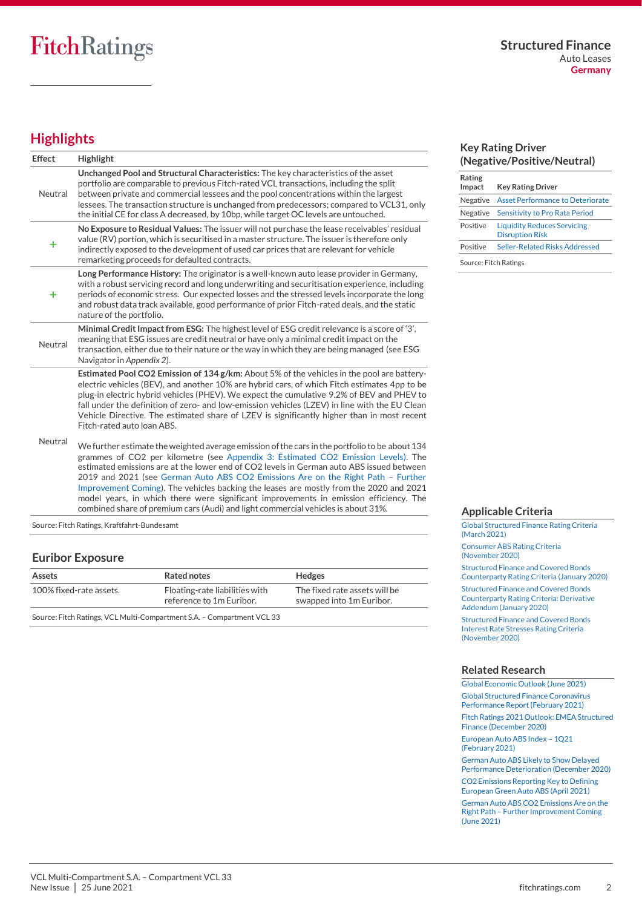# <span id="page-1-0"></span>**Highlights**

| <b>Effect</b> | <b>Highlight</b>                                                                                                                                                                                                                                                                                                                                                                                                                                                                                                                                                                                                                            |
|---------------|---------------------------------------------------------------------------------------------------------------------------------------------------------------------------------------------------------------------------------------------------------------------------------------------------------------------------------------------------------------------------------------------------------------------------------------------------------------------------------------------------------------------------------------------------------------------------------------------------------------------------------------------|
| Neutral       | Unchanged Pool and Structural Characteristics: The key characteristics of the asset<br>portfolio are comparable to previous Fitch-rated VCL transactions, including the split<br>between private and commercial lessees and the pool concentrations within the largest<br>lessees. The transaction structure is unchanged from predecessors; compared to VCL31, only<br>the initial CE for class A decreased, by 10bp, while target OC levels are untouched.                                                                                                                                                                                |
| ٠             | No Exposure to Residual Values: The issuer will not purchase the lease receivables' residual<br>value (RV) portion, which is securitised in a master structure. The issuer is therefore only<br>indirectly exposed to the development of used car prices that are relevant for vehicle<br>remarketing proceeds for defaulted contracts.                                                                                                                                                                                                                                                                                                     |
| ٠             | Long Performance History: The originator is a well-known auto lease provider in Germany,<br>with a robust servicing record and long underwriting and securitisation experience, including<br>periods of economic stress. Our expected losses and the stressed levels incorporate the long<br>and robust data track available, good performance of prior Fitch-rated deals, and the static<br>nature of the portfolio.                                                                                                                                                                                                                       |
| Neutral       | Minimal Credit Impact from ESG: The highest level of ESG credit relevance is a score of '3',<br>meaning that ESG issues are credit neutral or have only a minimal credit impact on the<br>transaction, either due to their nature or the way in which they are being managed (see ESG<br>Navigator in Appendix 2).                                                                                                                                                                                                                                                                                                                          |
|               | Estimated Pool CO2 Emission of 134 g/km: About 5% of the vehicles in the pool are battery-<br>electric vehicles (BEV), and another 10% are hybrid cars, of which Fitch estimates 4pp to be<br>plug-in electric hybrid vehicles (PHEV). We expect the cumulative 9.2% of BEV and PHEV to<br>fall under the definition of zero- and low-emission vehicles (LZEV) in line with the EU Clean<br>Vehicle Directive. The estimated share of LZEV is significantly higher than in most recent<br>Fitch-rated auto Ioan ABS.                                                                                                                        |
| Neutral       | We further estimate the weighted average emission of the cars in the portfolio to be about 134<br>grammes of CO2 per kilometre (see Appendix 3: Estimated CO2 Emission Levels). The<br>estimated emissions are at the lower end of CO2 levels in German auto ABS issued between<br>2019 and 2021 (see German Auto ABS CO2 Emissions Are on the Right Path - Further<br>Improvement Coming). The vehicles backing the leases are mostly from the 2020 and 2021<br>model years, in which there were significant improvements in emission efficiency. The<br>combined share of premium cars (Audi) and light commercial vehicles is about 31%. |

Source: Fitch Ratings, Kraftfahrt-Bundesamt

#### **Euribor Exposure**

| Assets                                                                 | Rated notes                                                | <b>Hedges</b>                                             |  |  |
|------------------------------------------------------------------------|------------------------------------------------------------|-----------------------------------------------------------|--|--|
| 100% fixed-rate assets.                                                | Floating-rate liabilities with<br>reference to 1m Euribor. | The fixed rate assets will be<br>swapped into 1m Euribor. |  |  |
| Source: Fitch Ratings, VCL Multi-Compartment S.A. - Compartment VCL 33 |                                                            |                                                           |  |  |

#### **Key Rating Driver (Negative/Positive/Neutral)**

| Rating                |                                                              |
|-----------------------|--------------------------------------------------------------|
| Impact                | <b>Key Rating Driver</b>                                     |
| Negative              | <b>Asset Performance to Deteriorate</b>                      |
| Negative              | Sensitivity to Pro Rata Period                               |
| Positive              | <b>Liquidity Reduces Servicing</b><br><b>Disruption Risk</b> |
| Positive              | Seller-Related Risks Addressed                               |
| Source: Fitch Ratings |                                                              |

**Applicable Criteria**

[Global Structured Finance Rating Criteria](https://app.fitchconnect.com/search/research/article/FR_RPT_10155696)  [\(March 2021\)](https://app.fitchconnect.com/search/research/article/FR_RPT_10155696) [Consumer ABS Rating Criteria](https://app.fitchconnect.com/search/research/article/RPT_10142225)  [\(November 2020\)](https://app.fitchconnect.com/search/research/article/RPT_10142225)

[Structured Finance and Covered Bonds](https://app.fitchconnect.com/search/research/article/RPT_10108544)  [Counterparty Rating Criteria \(January 2020\)](https://app.fitchconnect.com/search/research/article/RPT_10108544)

[Structured Finance and Covered Bonds](https://app.fitchconnect.com/search/research/article/RPT_10108546)  [Counterparty Rating Criteria: Derivative](https://app.fitchconnect.com/search/research/article/RPT_10108546)  [Addendum \(January 2020\)](https://app.fitchconnect.com/search/research/article/RPT_10108546) 

[Structured Finance and Covered Bonds](https://app.fitchconnect.com/search/research/article/RPT_10141992)  [Interest Rate Stresses Rating Criteria](https://app.fitchconnect.com/search/research/article/RPT_10141992)  [\(November 2020\)](https://app.fitchconnect.com/search/research/article/RPT_10141992)

#### **Related Research**

[Global Economic Outlook \(June](https://app.fitchconnect.com/search/research/article/FR_RPT_10166250) 2021)

[Global Structured Finance Coronavirus](https://app.fitchconnect.com/search/research/article/RPT_10150476)  [Performance Report \(February 2021\)](https://app.fitchconnect.com/search/research/article/RPT_10150476)

[Fitch Ratings 2021 Outlook: EMEA Structured](https://app.fitchconnect.com/search/research/article/RPT_10144357)  [Finance \(December 2020\)](https://app.fitchconnect.com/search/research/article/RPT_10144357)

[European Auto ABS Index](https://app.fitchconnect.com/search/research/article/RPT_10152382) – 1Q21 [\(February 2021\)](https://app.fitchconnect.com/search/research/article/RPT_10152382)

[German Auto ABS Likely to Show Delayed](https://app.fitchconnect.com/search/research/article/PR_10146030)  [Performance Deterioration \(December 2020\)](https://app.fitchconnect.com/search/research/article/PR_10146030)

[CO2 Emissions Reporting Key to Defining](https://app.fitchconnect.com/search/research/article/FR_PR_10158348)  [European Green Auto ABS \(April 2021\)](https://app.fitchconnect.com/search/research/article/FR_PR_10158348)

[German Auto ABS CO2 Emissions Are on the](https://app.fitchconnect.com/search/research/article/FR_RPT_10163637)  Right Path – [Further Improvement Coming](https://app.fitchconnect.com/search/research/article/FR_RPT_10163637)  [\(June 2021\)](https://app.fitchconnect.com/search/research/article/FR_RPT_10163637)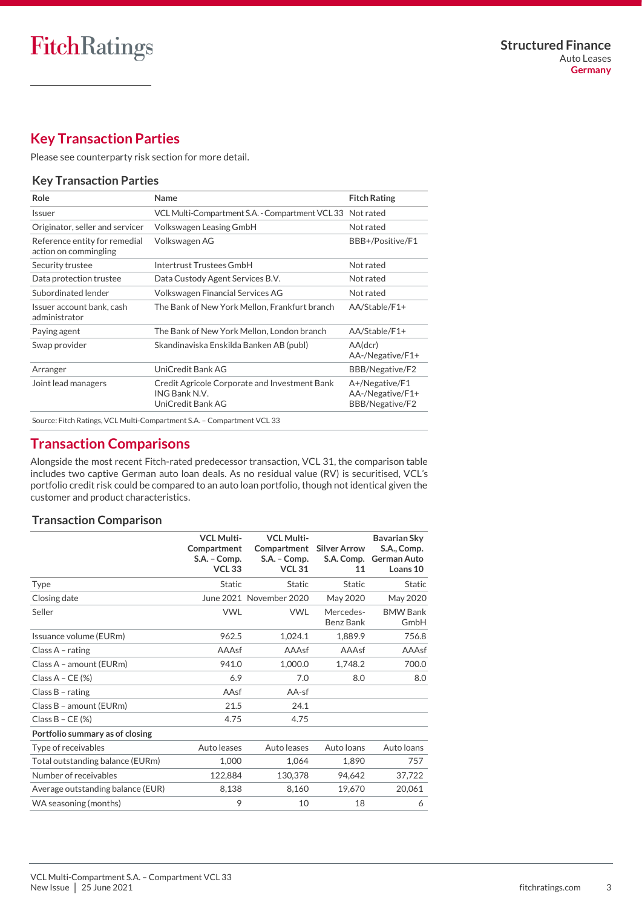# <span id="page-2-0"></span>**Key Transaction Parties**

Please se[e counterparty risk section](#page-11-0) for more detail.

#### **Key Transaction Parties**

| Role                                                   | Name                                                                                | <b>Fitch Rating</b>                                   |
|--------------------------------------------------------|-------------------------------------------------------------------------------------|-------------------------------------------------------|
| Issuer                                                 | VCL Multi-Compartment S.A. - Compartment VCL 33                                     | Not rated                                             |
| Originator, seller and servicer                        | Volkswagen Leasing GmbH                                                             | Not rated                                             |
| Reference entity for remedial<br>action on commingling | Volkswagen AG                                                                       | BBB+/Positive/F1                                      |
| Security trustee                                       | Intertrust Trustees GmbH                                                            | Not rated                                             |
| Data protection trustee                                | Data Custody Agent Services B.V.                                                    | Not rated                                             |
| Subordinated lender                                    | Volkswagen Financial Services AG                                                    | Not rated                                             |
| Issuer account bank, cash<br>administrator             | The Bank of New York Mellon, Frankfurt branch                                       | AA/Stable/F1+                                         |
| Paying agent                                           | The Bank of New York Mellon, London branch                                          | AA/Stable/F1+                                         |
| Swap provider                                          | Skandinaviska Enskilda Banken AB (publ)                                             | AA(dcr)<br>AA-/Negative/F1+                           |
| Arranger                                               | UniCredit Bank AG                                                                   | BBB/Negative/F2                                       |
| Joint lead managers                                    | Credit Agricole Corporate and Investment Bank<br>ING Bank N.V.<br>UniCredit Bank AG | A+/Negative/F1<br>AA-/Negative/F1+<br>BBB/Negative/F2 |
|                                                        | Source: Fitch Ratings, VCL Multi-Compartment S.A. - Compartment VCL 33              |                                                       |

# <span id="page-2-1"></span>**Transaction Comparisons**

Alongside the most recent Fitch-rated predecessor transaction, VCL 31, the comparison table includes two captive German auto loan deals. As no residual value (RV) is securitised, VCL's portfolio credit risk could be compared to an auto loan portfolio, though not identical given the customer and product characteristics.

#### **Transaction Comparison**

|                                   | <b>VCL Multi-</b><br>Compartment<br>S.A. - Comp.<br><b>VCL 33</b> | <b>VCL Multi-</b><br>Compartment<br>S.A. - Comp.<br><b>VCL 31</b> | <b>Silver Arrow</b><br>S.A. Comp.<br>11 | <b>Bavarian Sky</b><br>S.A., Comp.<br><b>German Auto</b><br>Loans 10 |
|-----------------------------------|-------------------------------------------------------------------|-------------------------------------------------------------------|-----------------------------------------|----------------------------------------------------------------------|
| <b>Type</b>                       | <b>Static</b>                                                     | <b>Static</b>                                                     | <b>Static</b>                           | <b>Static</b>                                                        |
| Closing date                      |                                                                   | June 2021 November 2020                                           | May 2020                                | May 2020                                                             |
| Seller                            | <b>VWL</b>                                                        | <b>VWL</b>                                                        | Mercedes-<br>Benz Bank                  | <b>BMW Bank</b><br>GmbH                                              |
| Issuance volume (EURm)            | 962.5                                                             | 1,024.1                                                           | 1,889.9                                 | 756.8                                                                |
| Class $A$ - rating                | AAAsf                                                             | AAAsf                                                             | AAAsf                                   | AAAsf                                                                |
| Class A - amount (EURm)           | 941.0                                                             | 1,000.0                                                           | 1,748.2                                 | 700.0                                                                |
| Class $A - CE$ (%)                | 6.9                                                               | 7.0                                                               | 8.0                                     | 8.0                                                                  |
| Class $B$ - rating                | AAsf                                                              | AA-sf                                                             |                                         |                                                                      |
| Class B - amount (EURm)           | 21.5                                                              | 24.1                                                              |                                         |                                                                      |
| Class $B - CE$ (%)                | 4.75                                                              | 4.75                                                              |                                         |                                                                      |
| Portfolio summary as of closing   |                                                                   |                                                                   |                                         |                                                                      |
| Type of receivables               | Auto leases                                                       | Auto leases                                                       | Auto loans                              | Auto loans                                                           |
| Total outstanding balance (EURm)  | 1,000                                                             | 1,064                                                             | 1,890                                   | 757                                                                  |
| Number of receivables             | 122,884                                                           | 130,378                                                           | 94,642                                  | 37,722                                                               |
| Average outstanding balance (EUR) | 8,138                                                             | 8,160                                                             | 19,670                                  | 20,061                                                               |
| WA seasoning (months)             | 9                                                                 | 10                                                                | 18                                      | 6                                                                    |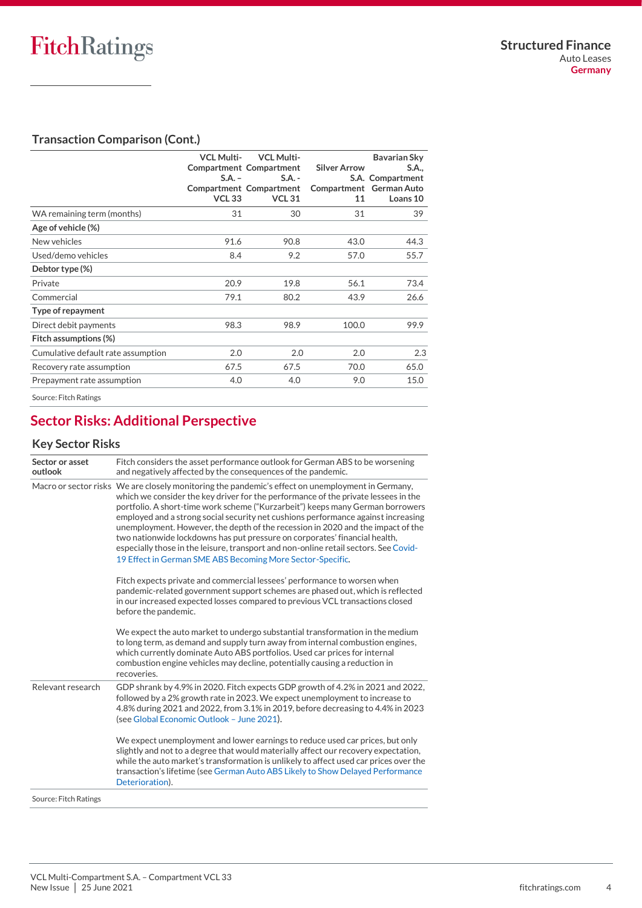## **Transaction Comparison (Cont.)**

|                                    | <b>VCL Multi-</b><br>$S.A. -$<br><b>VCL 33</b> | <b>VCL Multi-</b><br><b>Compartment Compartment</b><br>$S.A. -$<br>Compartment Compartment<br><b>VCL 31</b> | <b>Silver Arrow</b><br>11 | Bavarian Sky<br>S.A.,<br>S.A. Compartment<br>Compartment German Auto<br>Loans 10 |
|------------------------------------|------------------------------------------------|-------------------------------------------------------------------------------------------------------------|---------------------------|----------------------------------------------------------------------------------|
| WA remaining term (months)         | 31                                             | 30                                                                                                          | 31                        | 39                                                                               |
| Age of vehicle (%)                 |                                                |                                                                                                             |                           |                                                                                  |
| New vehicles                       | 91.6                                           | 90.8                                                                                                        | 43.0                      | 44.3                                                                             |
| Used/demo vehicles                 | 8.4                                            | 9.2                                                                                                         | 57.0                      | 55.7                                                                             |
| Debtor type (%)                    |                                                |                                                                                                             |                           |                                                                                  |
| Private                            | 20.9                                           | 19.8                                                                                                        | 56.1                      | 73.4                                                                             |
| Commercial                         | 79.1                                           | 80.2                                                                                                        | 43.9                      | 26.6                                                                             |
| Type of repayment                  |                                                |                                                                                                             |                           |                                                                                  |
| Direct debit payments              | 98.3                                           | 98.9                                                                                                        | 100.0                     | 99.9                                                                             |
| Fitch assumptions (%)              |                                                |                                                                                                             |                           |                                                                                  |
| Cumulative default rate assumption | 2.0                                            | 2.0                                                                                                         | 2.0                       | 2.3                                                                              |
| Recovery rate assumption           | 67.5                                           | 67.5                                                                                                        | 70.0                      | 65.0                                                                             |
| Prepayment rate assumption         | 4.0                                            | 4.0                                                                                                         | 9.0                       | 15.0                                                                             |
| Source: Fitch Ratings              |                                                |                                                                                                             |                           |                                                                                  |

# <span id="page-3-0"></span>**Sector Risks: Additional Perspective**

## **Key Sector Risks**

| Sector or asset<br>outlook | Fitch considers the asset performance outlook for German ABS to be worsening<br>and negatively affected by the consequences of the pandemic.                                                                                                                                                                                                                                                                                                                                                                                                                                                                                                                                          |
|----------------------------|---------------------------------------------------------------------------------------------------------------------------------------------------------------------------------------------------------------------------------------------------------------------------------------------------------------------------------------------------------------------------------------------------------------------------------------------------------------------------------------------------------------------------------------------------------------------------------------------------------------------------------------------------------------------------------------|
|                            | Macro or sector risks We are closely monitoring the pandemic's effect on unemployment in Germany,<br>which we consider the key driver for the performance of the private lessees in the<br>portfolio. A short-time work scheme ("Kurzarbeit") keeps many German borrowers<br>employed and a strong social security net cushions performance against increasing<br>unemployment. However, the depth of the recession in 2020 and the impact of the<br>two nationwide lockdowns has put pressure on corporates' financial health,<br>especially those in the leisure, transport and non-online retail sectors. See Covid-<br>19 Effect in German SME ABS Becoming More Sector-Specific. |
|                            | Fitch expects private and commercial lessees' performance to worsen when<br>pandemic-related government support schemes are phased out, which is reflected<br>in our increased expected losses compared to previous VCL transactions closed<br>before the pandemic.                                                                                                                                                                                                                                                                                                                                                                                                                   |
|                            | We expect the auto market to undergo substantial transformation in the medium<br>to long term, as demand and supply turn away from internal combustion engines,<br>which currently dominate Auto ABS portfolios. Used car prices for internal<br>combustion engine vehicles may decline, potentially causing a reduction in<br>recoveries.                                                                                                                                                                                                                                                                                                                                            |
| Relevant research          | GDP shrank by 4.9% in 2020. Fitch expects GDP growth of 4.2% in 2021 and 2022,<br>followed by a 2% growth rate in 2023. We expect unemployment to increase to<br>4.8% during 2021 and 2022, from 3.1% in 2019, before decreasing to 4.4% in 2023<br>(see Global Economic Outlook - June 2021).                                                                                                                                                                                                                                                                                                                                                                                        |
|                            | We expect unemployment and lower earnings to reduce used car prices, but only<br>slightly and not to a degree that would materially affect our recovery expectation,<br>while the auto market's transformation is unlikely to affect used car prices over the<br>transaction's lifetime (see German Auto ABS Likely to Show Delayed Performance<br>Deterioration).                                                                                                                                                                                                                                                                                                                    |
| Source: Fitch Ratings      |                                                                                                                                                                                                                                                                                                                                                                                                                                                                                                                                                                                                                                                                                       |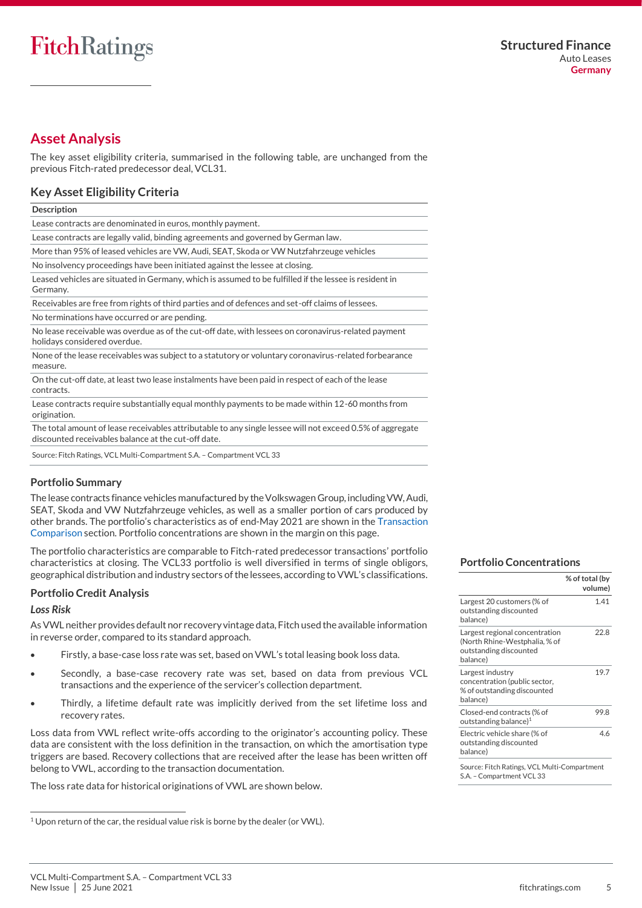# <span id="page-4-0"></span>**Asset Analysis**

The key asset eligibility criteria, summarised in the following table, are unchanged from the previous Fitch-rated predecessor deal, VCL31.

#### **Key Asset Eligibility Criteria**

| <b>Description</b>                                                                                                                  |
|-------------------------------------------------------------------------------------------------------------------------------------|
| Lease contracts are denominated in euros, monthly payment.                                                                          |
| Lease contracts are legally valid, binding agreements and governed by German law.                                                   |
| More than 95% of leased vehicles are VW, Audi, SEAT, Skoda or VW Nutzfahrzeuge vehicles                                             |
| No insolvency proceedings have been initiated against the lessee at closing.                                                        |
| Leased vehicles are situated in Germany, which is assumed to be fulfilled if the lessee is resident in<br>Germany.                  |
| Receivables are free from rights of third parties and of defences and set-off claims of lessees.                                    |
| No terminations have occurred or are pending.                                                                                       |
| No lease receivable was overdue as of the cut-off date, with lessees on coronavirus-related payment<br>holidays considered overdue. |
| None of the lease receivables was subject to a statutory or voluntary coronavirus-related forbearance<br>measure.                   |
| On the cut-off date, at least two lease instalments have been paid in respect of each of the lease<br>contracts.                    |
| esse contracts require substantially equal monthly payments to be made within 12-60 months from                                     |

cts require substantially equal monthly payments to be made within 12-60 months from origination.

The total amount of lease receivables attributable to any single lessee will not exceed 0.5% of aggregate discounted receivables balance at the cut-off date.

Source: Fitch Ratings, VCL Multi-Compartment S.A. – Compartment VCL 33

#### **Portfolio Summary**

The lease contracts finance vehicles manufactured by the Volkswagen Group, including VW, Audi, SEAT, Skoda and VW Nutzfahrzeuge vehicles, as well as a smaller portion of cars produced by other brands. The portfolio's characteristics as of end-May 2021 are shown in the [Transaction](#page-2-1)  [Comparison](#page-2-1) section. Portfolio concentrations are shown in the margin on this page.

The portfolio characteristics are comparable to Fitch-rated predecessor transactions' portfolio characteristics at closing. The VCL33 portfolio is well diversified in terms of single obligors, geographical distribution and industry sectors of the lessees, according to VWL's classifications.

#### <span id="page-4-1"></span>**Portfolio Credit Analysis**

#### *Loss Risk*

As VWL neither provides default nor recovery vintage data, Fitch used the available information in reverse order, compared to its standard approach.

- Firstly, a base-case loss rate was set, based on VWL's total leasing book loss data.
- Secondly, a base-case recovery rate was set, based on data from previous VCL transactions and the experience of the servicer's collection department.
- Thirdly, a lifetime default rate was implicitly derived from the set lifetime loss and recovery rates.

Loss data from VWL reflect write-offs according to the originator's accounting policy. These data are consistent with the loss definition in the transaction, on which the amortisation type triggers are based. Recovery collections that are received after the lease has been written off belong to VWL, according to the transaction documentation.

The loss rate data for historical originations of VWL are shown below.

#### **Portfolio Concentrations**

|                                                                                                       | % of total (by<br>volume) |
|-------------------------------------------------------------------------------------------------------|---------------------------|
| Largest 20 customers (% of<br>outstanding discounted<br>balance)                                      | 1.41                      |
| Largest regional concentration<br>(North Rhine-Westphalia, % of<br>outstanding discounted<br>balance) | 22.8                      |
| Largest industry<br>concentration (public sector,<br>% of outstanding discounted<br>balance)          | 19.7                      |
| Closed-end contracts (% of<br>outstanding balance) <sup>1</sup>                                       | 99.8                      |
| Electric vehicle share (% of<br>outstanding discounted<br>balance)                                    | 46                        |
| Source: Fitch Ratings, VCL Multi-Compartment<br>S.A. - Compartment VCL 33                             |                           |

<sup>1</sup> Upon return of the car, the residual value risk is borne by the dealer (or VWL).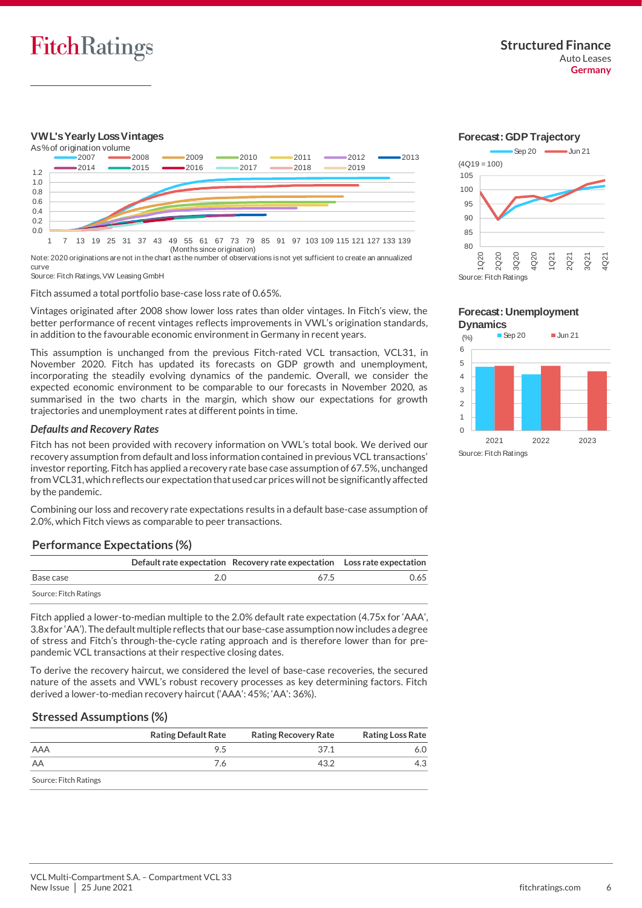

### **VWL's Yearly Loss Vintages**



Note: 2020 originations are not in the chart as the number of observations is not yet sufficient to create an annualized curve

Source: Fitch Ratings, VW Leasing GmbH

Fitch assumed a total portfolio base-case loss rate of 0.65%.

Vintages originated after 2008 show lower loss rates than older vintages. In Fitch's view, the better performance of recent vintages reflects improvements in VWL's origination standards, in addition to the favourable economic environment in Germany in recent years.

This assumption is unchanged from the previous Fitch-rated VCL transaction, VCL31, in November 2020. Fitch has updated its forecasts on GDP growth and unemployment, incorporating the steadily evolving dynamics of the pandemic. Overall, we consider the expected economic environment to be comparable to our forecasts in November 2020, as summarised in the two charts in the margin, which show our expectations for growth trajectories and unemployment rates at different points in time.

#### *Defaults and Recovery Rates*

Fitch has not been provided with recovery information on VWL's total book. We derived our recovery assumption from default and loss information contained in previous VCL transactions' investor reporting. Fitch has applied a recovery rate base case assumption of 67.5%, unchanged from VCL31, which reflects our expectation that used car prices will not be significantly affected by the pandemic.

Combining our loss and recovery rate expectations results in a default base-case assumption of 2.0%, which Fitch views as comparable to peer transactions.

### **Performance Expectations (%)**

|                       | Default rate expectation Recovery rate expectation Loss rate expectation |      |
|-----------------------|--------------------------------------------------------------------------|------|
| Base case             | 67.5                                                                     | 0.65 |
| Source: Fitch Ratings |                                                                          |      |

Fitch applied a lower-to-median multiple to the 2.0% default rate expectation (4.75x for 'AAA', 3.8x for 'AA'). The default multiple reflects that our base-case assumption now includes a degree of stress and Fitch's through-the-cycle rating approach and is therefore lower than for prepandemic VCL transactions at their respective closing dates.

To derive the recovery haircut, we considered the level of base-case recoveries, the secured nature of the assets and VWL's robust recovery processes as key determining factors. Fitch derived a lower-to-median recovery haircut ('AAA': 45%; 'AA': 36%).

### **Stressed Assumptions (%)**

|                       | <b>Rating Default Rate</b> | <b>Rating Recovery Rate</b> | <b>Rating Loss Rate</b> |
|-----------------------|----------------------------|-----------------------------|-------------------------|
| AAA                   | 9.5                        | 37.1                        | 6.O                     |
| AA                    | 7.6                        | 43.2                        |                         |
| Source: Fitch Ratings |                            |                             |                         |





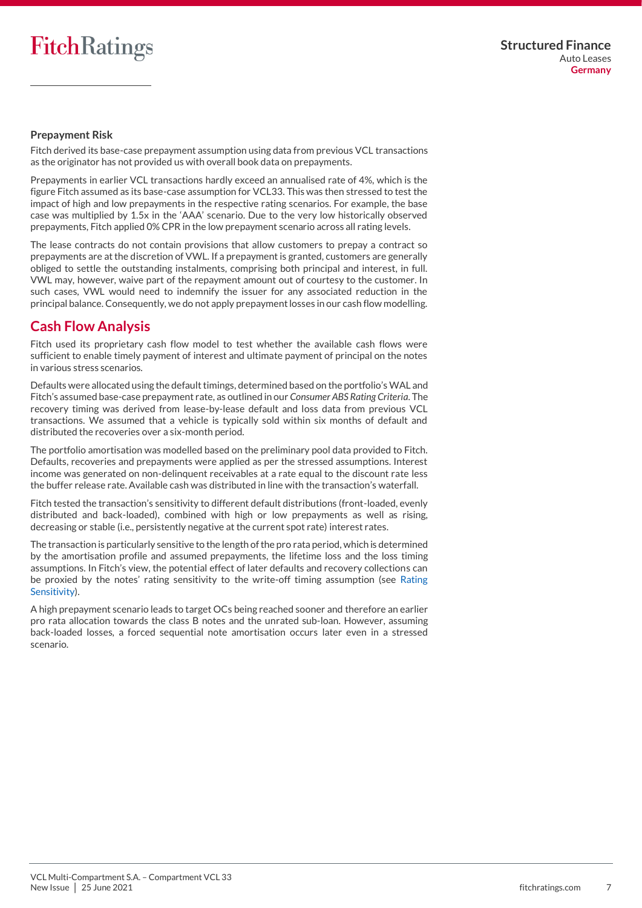#### **Prepayment Risk**

Fitch derived its base-case prepayment assumption using data from previous VCL transactions as the originator has not provided us with overall book data on prepayments.

Prepayments in earlier VCL transactions hardly exceed an annualised rate of 4%, which is the figure Fitch assumed as its base-case assumption for VCL33. This was then stressed to test the impact of high and low prepayments in the respective rating scenarios. For example, the base case was multiplied by 1.5x in the 'AAA' scenario. Due to the very low historically observed prepayments, Fitch applied 0% CPR in the low prepayment scenario across all rating levels.

The lease contracts do not contain provisions that allow customers to prepay a contract so prepayments are at the discretion of VWL. If a prepayment is granted, customers are generally obliged to settle the outstanding instalments, comprising both principal and interest, in full. VWL may, however, waive part of the repayment amount out of courtesy to the customer. In such cases, VWL would need to indemnify the issuer for any associated reduction in the principal balance. Consequently, we do not apply prepayment losses in our cash flow modelling.

# <span id="page-6-0"></span>**Cash Flow Analysis**

Fitch used its proprietary cash flow model to test whether the available cash flows were sufficient to enable timely payment of interest and ultimate payment of principal on the notes in various stress scenarios.

Defaults were allocated using the default timings, determined based on the portfolio's WAL and Fitch's assumed base-case prepayment rate, as outlined in our *Consumer ABS Rating Criteria*. The recovery timing was derived from lease-by-lease default and loss data from previous VCL transactions. We assumed that a vehicle is typically sold within six months of default and distributed the recoveries over a six-month period.

The portfolio amortisation was modelled based on the preliminary pool data provided to Fitch. Defaults, recoveries and prepayments were applied as per the stressed assumptions. Interest income was generated on non-delinquent receivables at a rate equal to the discount rate less the buffer release rate. Available cash was distributed in line with the transaction's waterfall.

Fitch tested the transaction's sensitivity to different default distributions (front-loaded, evenly distributed and back-loaded), combined with high or low prepayments as well as rising, decreasing or stable (i.e., persistently negative at the current spot rate) interest rates.

The transaction is particularly sensitive to the length of the pro rata period, which is determined by the amortisation profile and assumed prepayments, the lifetime loss and the loss timing assumptions. In Fitch's view, the potential effect of later defaults and recovery collections can be proxied by the notes' rating sensitivity to the write-off timing assumption (see [Rating](#page-7-0)  [Sensitivity\)](#page-7-0).

A high prepayment scenario leads to target OCs being reached sooner and therefore an earlier pro rata allocation towards the class B notes and the unrated sub-loan. However, assuming back-loaded losses, a forced sequential note amortisation occurs later even in a stressed scenario.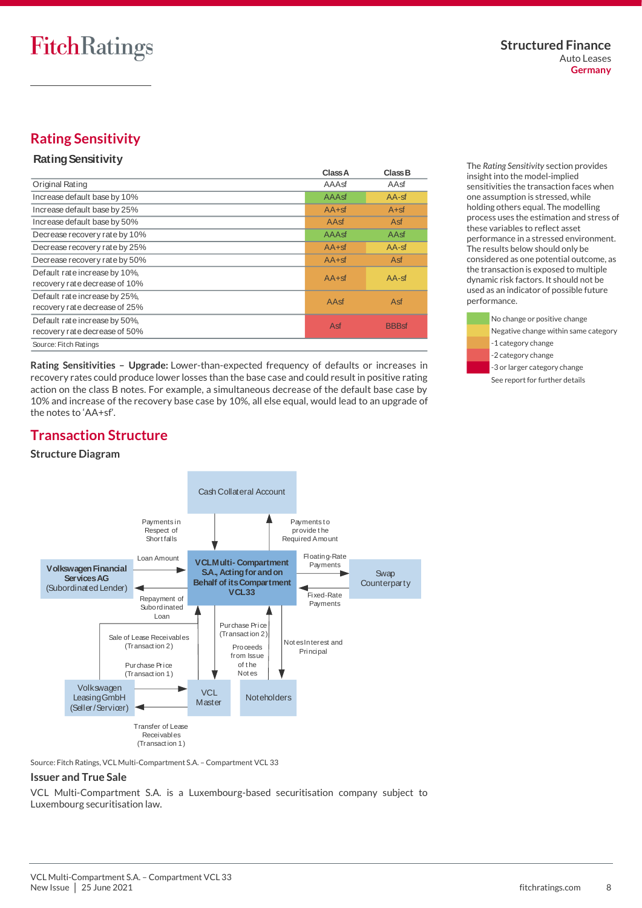# <span id="page-7-0"></span>**Rating Sensitivity**

#### **Rating Sensitivity**

|                                                                | Class A | Class B      |
|----------------------------------------------------------------|---------|--------------|
| Original Rating                                                | AAAsf   | AAsf         |
| Increase default base by 10%                                   | AAAsf   | $AA$ -sf     |
| Increase default base by 25%                                   | $AA+sf$ | $A + sf$     |
| Increase default base by 50%                                   | AAsf    | Asf          |
| Decrease recovery rate by 10%                                  | AAAsf   | AAsf         |
| Decrease recovery rate by 25%                                  | $AA+sf$ | $AA$ -sf     |
| Decrease recovery rate by 50%                                  | $AA+sf$ | Asf          |
| Default rate increase by 10%,<br>recovery rate decrease of 10% | $AA+sf$ | $AA$ -sf     |
| Default rate increase by 25%.<br>recovery rate decrease of 25% | AAsf    | Asf          |
| Default rate increase by 50%.<br>recovery rate decrease of 50% | Asf     | <b>BBBsf</b> |
| Source: Fitch Ratings                                          |         |              |

**Rating Sensitivities – Upgrade:** Lower-than-expected frequency of defaults or increases in recovery rates could produce lower losses than the base case and could result in positive rating action on the class B notes. For example, a simultaneous decrease of the default base case by 10% and increase of the recovery base case by 10%, all else equal, would lead to an upgrade of the notes to 'AA+sf'.

The *Rating Sensitivity* section provides insight into the model-implied sensitivities the transaction faces when one assumption is stressed, while holding others equal. The modelling process uses the estimation and stress of these variables to reflect asset performance in a stressed environment. The results below should only be considered as one potential outcome, as the transaction is exposed to multiple dynamic risk factors. It should not be used as an indicator of possible future performance.



# <span id="page-7-1"></span>**Transaction Structure**

#### **Structure Diagram**



Source: Fitch Ratings, VCL Multi-Compartment S.A. – Compartment VCL 33

#### **Issuer and True Sale**

VCL Multi-Compartment S.A. is a Luxembourg-based securitisation company subject to Luxembourg securitisation law.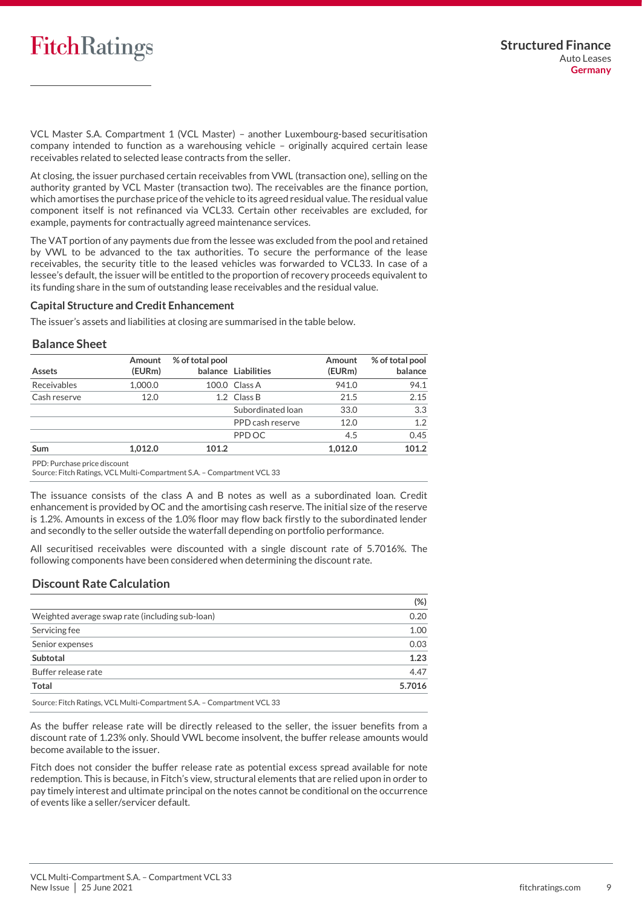VCL Master S.A. Compartment 1 (VCL Master) – another Luxembourg-based securitisation company intended to function as a warehousing vehicle – originally acquired certain lease receivables related to selected lease contracts from the seller.

At closing, the issuer purchased certain receivables from VWL (transaction one), selling on the authority granted by VCL Master (transaction two). The receivables are the finance portion, which amortises the purchase price of the vehicle to its agreed residual value. The residual value component itself is not refinanced via VCL33. Certain other receivables are excluded, for example, payments for contractually agreed maintenance services.

The VAT portion of any payments due from the lessee was excluded from the pool and retained by VWL to be advanced to the tax authorities. To secure the performance of the lease receivables, the security title to the leased vehicles was forwarded to VCL33. In case of a lessee's default, the issuer will be entitled to the proportion of recovery proceeds equivalent to its funding share in the sum of outstanding lease receivables and the residual value.

#### **Capital Structure and Credit Enhancement**

The issuer's assets and liabilities at closing are summarised in the table below.

#### **Balance Sheet**

| Assets                        | Amount<br>(EURm) | % of total pool | balance Liabilities | Amount<br>(EURm) | % of total pool<br>balance |
|-------------------------------|------------------|-----------------|---------------------|------------------|----------------------------|
| Receivables                   | 1.000.0          |                 | 100.0 Class A       | 941.0            | 94.1                       |
| Cash reserve                  | 12.0             |                 | 1.2 Class B         | 21.5             | 2.15                       |
|                               |                  |                 | Subordinated loan   | 33.0             | 3.3                        |
|                               |                  |                 | PPD cash reserve    | 12.0             | 1.2                        |
|                               |                  |                 | PPD OC              | 4.5              | 0.45                       |
| <b>Sum</b>                    | 1.012.0          | 101.2           |                     | 1,012.0          | 101.2                      |
| DDD, Dunskaan water dieserrak |                  |                 |                     |                  |                            |

PPD: Purchase price discount

Source: Fitch Ratings, VCL Multi-Compartment S.A. – Compartment VCL 33

The issuance consists of the class A and B notes as well as a subordinated loan. Credit enhancement is provided by OC and the amortising cash reserve. The initial size of the reserve is 1.2%. Amounts in excess of the 1.0% floor may flow back firstly to the subordinated lender and secondly to the seller outside the waterfall depending on portfolio performance.

All securitised receivables were discounted with a single discount rate of 5.7016%. The following components have been considered when determining the discount rate.

#### **Discount Rate Calculation**

|                                                                                                                                                                                                                                                                                                                                        | $(\%)$ |
|----------------------------------------------------------------------------------------------------------------------------------------------------------------------------------------------------------------------------------------------------------------------------------------------------------------------------------------|--------|
| Weighted average swap rate (including sub-loan)                                                                                                                                                                                                                                                                                        | 0.20   |
| Servicing fee                                                                                                                                                                                                                                                                                                                          | 1.00   |
| Senior expenses                                                                                                                                                                                                                                                                                                                        | 0.03   |
| Subtotal                                                                                                                                                                                                                                                                                                                               | 1.23   |
| Buffer release rate                                                                                                                                                                                                                                                                                                                    | 4.47   |
| <b>Total</b>                                                                                                                                                                                                                                                                                                                           | 5.7016 |
| $\mathbb{R}^{n+1}$ $\mathbb{R}^{n+1}$ $\mathbb{R}^{n}$ $\mathbb{R}^{n}$ $\mathbb{R}^{n}$ $\mathbb{R}^{n}$ $\mathbb{R}^{n}$ $\mathbb{R}^{n}$ $\mathbb{R}^{n}$ $\mathbb{R}^{n}$ $\mathbb{R}^{n}$ $\mathbb{R}^{n}$ $\mathbb{R}^{n}$ $\mathbb{R}^{n}$ $\mathbb{R}^{n}$ $\mathbb{R}^{n}$ $\mathbb{R}^{n}$ $\mathbb{R}^{n}$<br>$\sim$ $\sim$ |        |

Source: Fitch Ratings, VCL Multi-Compartment S.A. – Compartment VCL 33

As the buffer release rate will be directly released to the seller, the issuer benefits from a discount rate of 1.23% only. Should VWL become insolvent, the buffer release amounts would become available to the issuer.

Fitch does not consider the buffer release rate as potential excess spread available for note redemption. This is because, in Fitch's view, structural elements that are relied upon in order to pay timely interest and ultimate principal on the notes cannot be conditional on the occurrence of events like a seller/servicer default.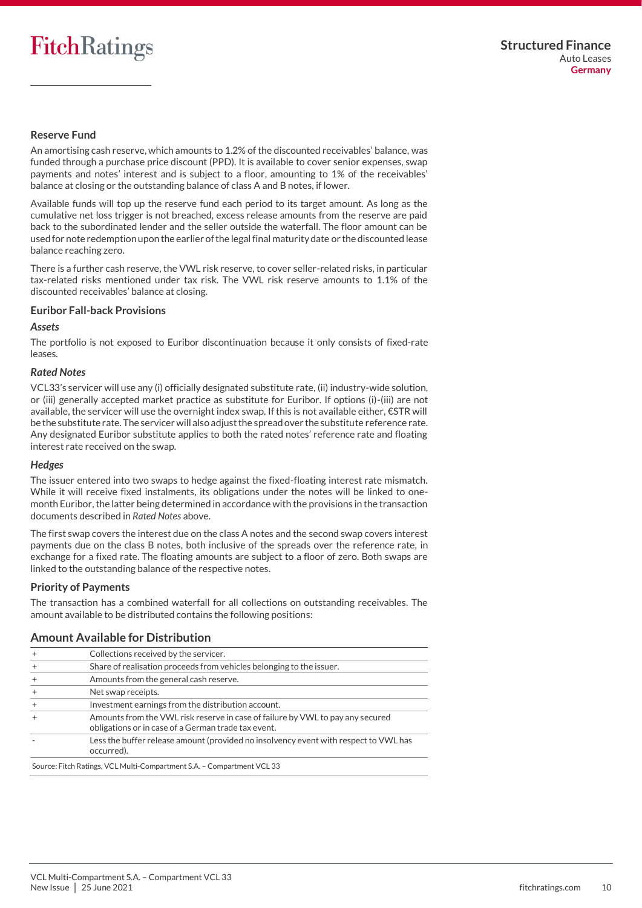#### **Reserve Fund**

An amortising cash reserve, which amounts to 1.2% of the discounted receivables' balance, was funded through a purchase price discount (PPD). It is available to cover senior expenses, swap payments and notes' interest and is subject to a floor, amounting to 1% of the receivables' balance at closing or the outstanding balance of class A and B notes, if lower.

Available funds will top up the reserve fund each period to its target amount. As long as the cumulative net loss trigger is not breached, excess release amounts from the reserve are paid back to the subordinated lender and the seller outside the waterfall. The floor amount can be used for note redemption upon the earlier of the legal final maturity date or the discounted lease balance reaching zero.

There is a further cash reserve, the VWL risk reserve, to cover seller-related risks, in particular tax-related risks mentioned under tax risk. The VWL risk reserve amounts to 1.1% of the discounted receivables' balance at closing.

#### **Euribor Fall-back Provisions**

#### *Assets*

The portfolio is not exposed to Euribor discontinuation because it only consists of fixed-rate leases.

#### *Rated Notes*

VCL33's servicer will use any (i) officially designated substitute rate, (ii) industry-wide solution, or (iii) generally accepted market practice as substitute for Euribor. If options (i)-(iii) are not available, the servicer will use the overnight index swap. If this is not available either, €STR will be the substitute rate. The servicer will also adjust the spread over the substitute reference rate. Any designated Euribor substitute applies to both the rated notes' reference rate and floating interest rate received on the swap.

#### *Hedges*

The issuer entered into two swaps to hedge against the fixed-floating interest rate mismatch. While it will receive fixed instalments, its obligations under the notes will be linked to onemonth Euribor, the latter being determined in accordance with the provisions in the transaction documents described in *Rated Notes* above.

The first swap covers the interest due on the class A notes and the second swap covers interest payments due on the class B notes, both inclusive of the spreads over the reference rate, in exchange for a fixed rate. The floating amounts are subject to a floor of zero. Both swaps are linked to the outstanding balance of the respective notes.

#### **Priority of Payments**

The transaction has a combined waterfall for all collections on outstanding receivables. The amount available to be distributed contains the following positions:

### **Amount Available for Distribution**

|        | Collections received by the servicer.                                                                                                 |
|--------|---------------------------------------------------------------------------------------------------------------------------------------|
|        | Share of realisation proceeds from vehicles belonging to the issuer.                                                                  |
|        | Amounts from the general cash reserve.                                                                                                |
|        | Net swap receipts.                                                                                                                    |
| $^{+}$ | Investment earnings from the distribution account.                                                                                    |
|        | Amounts from the VWL risk reserve in case of failure by VWL to pay any secured<br>obligations or in case of a German trade tax event. |
|        | Less the buffer release amount (provided no insolvency event with respect to VWL has<br>occurred).                                    |

Source: Fitch Ratings, VCL Multi-Compartment S.A. – Compartment VCL 33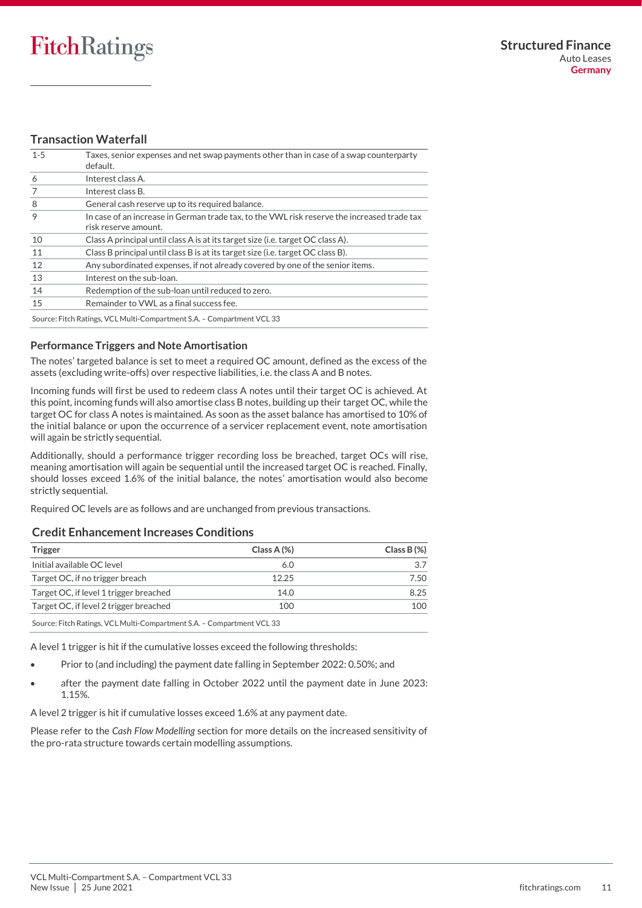### **Transaction Waterfall**

| $1 - 5$ | Taxes, senior expenses and net swap payments other than in case of a swap counterparty<br>default.                  |
|---------|---------------------------------------------------------------------------------------------------------------------|
| 6       | Interest class A.                                                                                                   |
|         | Interest class B.                                                                                                   |
| 8       | General cash reserve up to its required balance.                                                                    |
| 9       | In case of an increase in German trade tax, to the VWL risk reserve the increased trade tax<br>risk reserve amount. |
| 10      | Class A principal until class A is at its target size (i.e. target OC class A).                                     |
| 11      | Class B principal until class B is at its target size (i.e. target OC class B).                                     |
| 12      | Any subordinated expenses, if not already covered by one of the senior items.                                       |
| 13      | Interest on the sub-loan.                                                                                           |
| 14      | Redemption of the sub-loan until reduced to zero.                                                                   |
| 15      | Remainder to VWL as a final success fee.                                                                            |
|         | Source: Fitch Ratings, VCL Multi-Compartment S.A. - Compartment VCL 33                                              |

#### **Performance Triggers and Note Amortisation**

The notes' targeted balance is set to meet a required OC amount, defined as the excess of the assets (excluding write-offs) over respective liabilities, i.e. the class A and B notes.

Incoming funds will first be used to redeem class A notes until their target OC is achieved. At this point, incoming funds will also amortise class B notes, building up their target OC, while the target OC for class A notes is maintained. As soon as the asset balance has amortised to 10% of the initial balance or upon the occurrence of a servicer replacement event, note amortisation will again be strictly sequential.

Additionally, should a performance trigger recording loss be breached, target OCs will rise, meaning amortisation will again be sequential until the increased target OC is reached. Finally, should losses exceed 1.6% of the initial balance, the notes' amortisation would also become strictly sequential.

Required OC levels are as follows and are unchanged from previous transactions.

#### **Credit Enhancement Increases Conditions**

| Class A $(%)$ | Class $B(\%)$ |
|---------------|---------------|
| 6.0           |               |
| 12.25         | 7.50          |
| 14.0          | 8.25          |
| 100           | 100           |
|               |               |

Source: Fitch Ratings, VCL Multi-Compartment S.A. – Compartment VCL 33

A level 1 trigger is hit if the cumulative losses exceed the following thresholds:

- Prior to (and including) the payment date falling in September 2022: 0.50%; and
- after the payment date falling in October 2022 until the payment date in June 2023: 1.15%.

A level 2 trigger is hit if cumulative losses exceed 1.6% at any payment date.

Please refer to the *Cash Flow Modelling* section for more details on the increased sensitivity of the pro-rata structure towards certain modelling assumptions.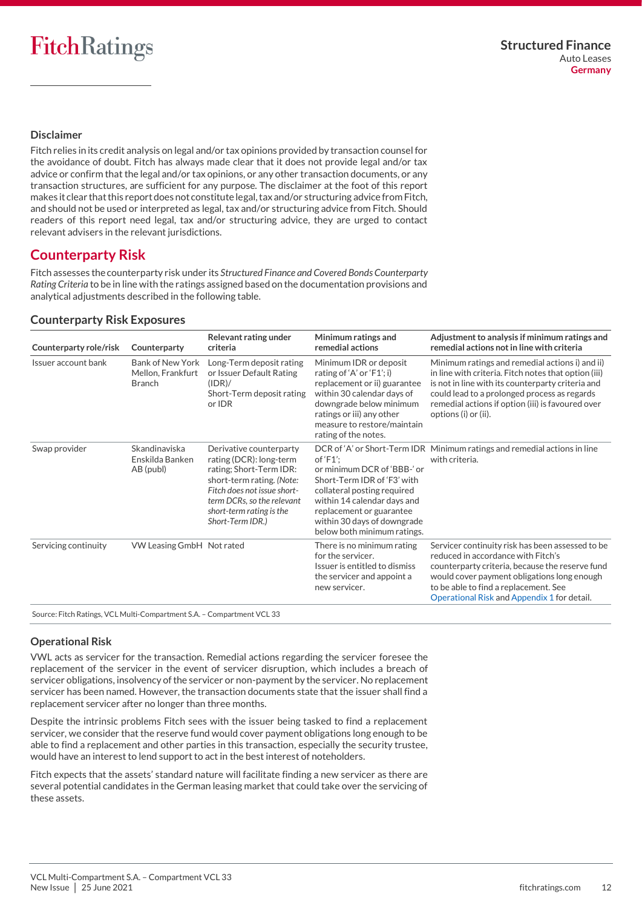#### **Disclaimer**

Fitch relies in its credit analysis on legal and/or tax opinions provided by transaction counsel for the avoidance of doubt. Fitch has always made clear that it does not provide legal and/or tax advice or confirm that the legal and/or tax opinions, or any other transaction documents, or any transaction structures, are sufficient for any purpose. The disclaimer at the foot of this report makes it clear that this report does not constitute legal, tax and/or structuring advice from Fitch, and should not be used or interpreted as legal, tax and/or structuring advice from Fitch. Should readers of this report need legal, tax and/or structuring advice, they are urged to contact relevant advisers in the relevant jurisdictions.

## <span id="page-11-0"></span>**Counterparty Risk**

Fitch assesses the counterparty risk under its *Structured Finance and Covered Bonds Counterparty Rating Criteria* to be in line with the ratings assigned based on the documentation provisions and analytical adjustments described in the following table.

#### **Counterparty Risk Exposures**

| Counterparty role/risk | Counterparty                                                  | Relevant rating under<br>criteria                                                                                                                                                                                       | Minimum ratings and<br>remedial actions                                                                                                                                                                                          | Adjustment to analysis if minimum ratings and<br>remedial actions not in line with criteria                                                                                                                                                                                               |
|------------------------|---------------------------------------------------------------|-------------------------------------------------------------------------------------------------------------------------------------------------------------------------------------------------------------------------|----------------------------------------------------------------------------------------------------------------------------------------------------------------------------------------------------------------------------------|-------------------------------------------------------------------------------------------------------------------------------------------------------------------------------------------------------------------------------------------------------------------------------------------|
| Issuer account bank    | <b>Bank of New York</b><br>Mellon, Frankfurt<br><b>Branch</b> | Long-Term deposit rating<br>or Issuer Default Rating<br>(IDR)/<br>Short-Term deposit rating<br>or IDR                                                                                                                   | Minimum IDR or deposit<br>rating of 'A' or 'F1'; i)<br>replacement or ii) guarantee<br>within 30 calendar days of<br>downgrade below minimum<br>ratings or iii) any other<br>measure to restore/maintain<br>rating of the notes. | Minimum ratings and remedial actions i) and ii)<br>in line with criteria. Fitch notes that option (iii)<br>is not in line with its counterparty criteria and<br>could lead to a prolonged process as regards<br>remedial actions if option (iii) is favoured over<br>options (i) or (ii). |
| Swap provider          | Skandinaviska<br>Enskilda Banken<br>AB (publ)                 | Derivative counterparty<br>rating (DCR): long-term<br>rating; Short-Term IDR:<br>short-term rating. (Note:<br>Fitch does not issue short-<br>term DCRs, so the relevant<br>short-term rating is the<br>Short-Term IDR.) | of $FT$ :<br>or minimum DCR of 'BBB-' or<br>Short-Term IDR of 'F3' with<br>collateral posting required<br>within 14 calendar days and<br>replacement or guarantee<br>within 30 days of downgrade<br>below both minimum ratings.  | DCR of 'A' or Short-Term IDR Minimum ratings and remedial actions in line<br>with criteria.                                                                                                                                                                                               |
| Servicing continuity   | VW Leasing GmbH Not rated                                     |                                                                                                                                                                                                                         | There is no minimum rating<br>for the servicer.<br>Issuer is entitled to dismiss<br>the servicer and appoint a<br>new servicer.                                                                                                  | Servicer continuity risk has been assessed to be<br>reduced in accordance with Fitch's<br>counterparty criteria, because the reserve fund<br>would cover payment obligations long enough<br>to be able to find a replacement. See<br>Operational Risk and Appendix 1 for detail.          |

Source: Fitch Ratings, VCL Multi-Compartment S.A. – Compartment VCL 33

<span id="page-11-1"></span>**Operational Risk**

VWL acts as servicer for the transaction. Remedial actions regarding the servicer foresee the replacement of the servicer in the event of servicer disruption, which includes a breach of servicer obligations, insolvency of the servicer or non-payment by the servicer. No replacement servicer has been named. However, the transaction documents state that the issuer shall find a replacement servicer after no longer than three months.

Despite the intrinsic problems Fitch sees with the issuer being tasked to find a replacement servicer, we consider that the reserve fund would cover payment obligations long enough to be able to find a replacement and other parties in this transaction, especially the security trustee, would have an interest to lend support to act in the best interest of noteholders.

Fitch expects that the assets' standard nature will facilitate finding a new servicer as there are several potential candidates in the German leasing market that could take over the servicing of these assets.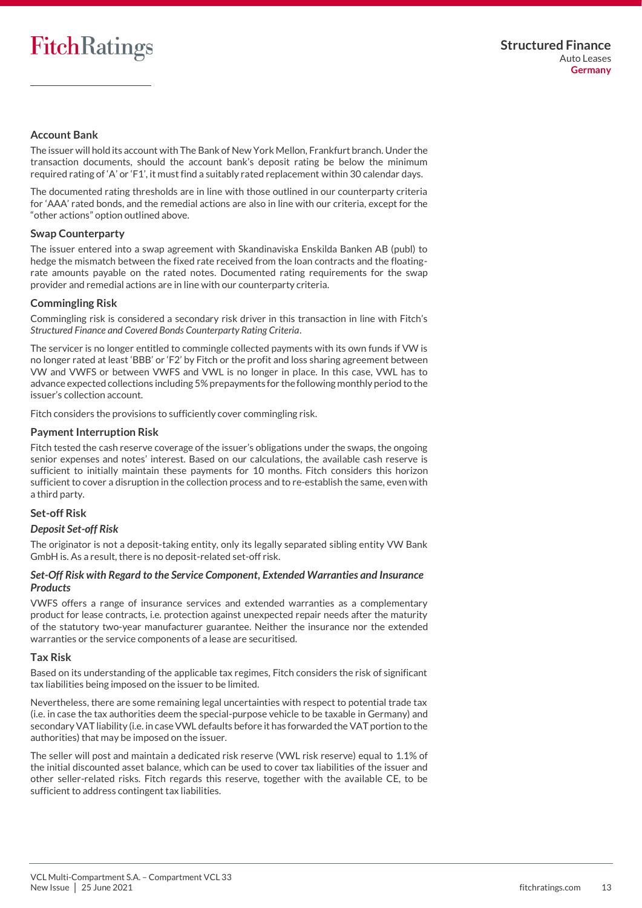#### <span id="page-12-1"></span>**Account Bank**

The issuer will hold its account with The Bank of New York Mellon, Frankfurt branch. Under the transaction documents, should the account bank's deposit rating be below the minimum required rating of 'A' or 'F1', it must find a suitably rated replacement within 30 calendar days.

The documented rating thresholds are in line with those outlined in our counterparty criteria for 'AAA' rated bonds, and the remedial actions are also in line with our criteria, except for the "other actions" option outlined above.

#### **Swap Counterparty**

The issuer entered into a swap agreement with Skandinaviska Enskilda Banken AB (publ) to hedge the mismatch between the fixed rate received from the loan contracts and the floatingrate amounts payable on the rated notes. Documented rating requirements for the swap provider and remedial actions are in line with our counterparty criteria.

#### **Commingling Risk**

Commingling risk is considered a secondary risk driver in this transaction in line with Fitch's *Structured Finance and Covered Bonds Counterparty Rating Criteria*.

The servicer is no longer entitled to commingle collected payments with its own funds if VW is no longer rated at least 'BBB' or 'F2' by Fitch or the profit and loss sharing agreement between VW and VWFS or between VWFS and VWL is no longer in place. In this case, VWL has to advance expected collections including 5% prepayments for the following monthly period to the issuer's collection account.

Fitch considers the provisions to sufficiently cover commingling risk.

#### <span id="page-12-0"></span>**Payment Interruption Risk**

Fitch tested the cash reserve coverage of the issuer's obligations under the swaps, the ongoing senior expenses and notes' interest. Based on our calculations, the available cash reserve is sufficient to initially maintain these payments for 10 months. Fitch considers this horizon sufficient to cover a disruption in the collection process and to re-establish the same, even with a third party.

#### **Set-off Risk**

#### *Deposit Set-off Risk*

The originator is not a deposit-taking entity, only its legally separated sibling entity VW Bank GmbH is. As a result, there is no deposit-related set-off risk.

#### *Set-Off Risk with Regard to the Service Component, Extended Warranties and Insurance Products*

VWFS offers a range of insurance services and extended warranties as a complementary product for lease contracts, i.e. protection against unexpected repair needs after the maturity of the statutory two-year manufacturer guarantee. Neither the insurance nor the extended warranties or the service components of a lease are securitised.

#### **Tax Risk**

Based on its understanding of the applicable tax regimes, Fitch considers the risk of significant tax liabilities being imposed on the issuer to be limited.

Nevertheless, there are some remaining legal uncertainties with respect to potential trade tax (i.e. in case the tax authorities deem the special-purpose vehicle to be taxable in Germany) and secondary VAT liability (i.e. in case VWL defaults before it has forwarded the VAT portion to the authorities) that may be imposed on the issuer.

The seller will post and maintain a dedicated risk reserve (VWL risk reserve) equal to 1.1% of the initial discounted asset balance, which can be used to cover tax liabilities of the issuer and other seller-related risks. Fitch regards this reserve, together with the available CE, to be sufficient to address contingent tax liabilities.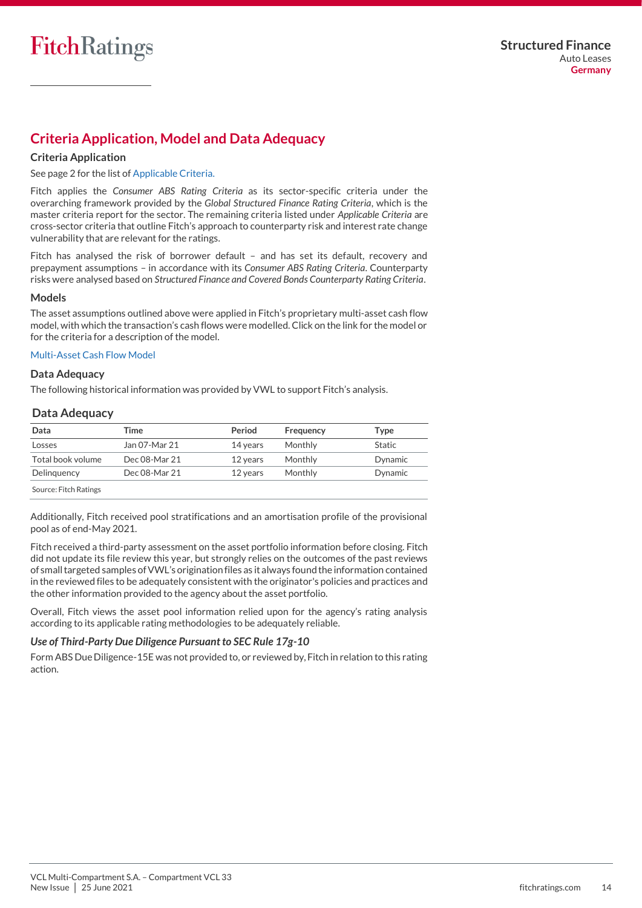# <span id="page-13-0"></span>**Criteria Application, Model and Data Adequacy**

#### **Criteria Application**

See page 2 for the list of Applicable Criteria.

Fitch applies the *Consumer ABS Rating Criteria* as its sector-specific criteria under the overarching framework provided by the *Global Structured Finance Rating Criteria*, which is the master criteria report for the sector. The remaining criteria listed under *Applicable Criteria* are cross-sector criteria that outline Fitch's approach to counterparty risk and interest rate change vulnerability that are relevant for the ratings.

Fitch has analysed the risk of borrower default – and has set its default, recovery and prepayment assumptions – in accordance with its *Consumer ABS Rating Criteria*. Counterparty risks were analysed based on *Structured Finance and Covered Bonds Counterparty Rating Criteria*.

#### **Models**

The asset assumptions outlined above were applied in Fitch's proprietary multi-asset cash flow model, with which the transaction's cash flows were modelled. Click on the link for the model or for the criteria for a description of the model.

#### [Multi-Asset Cash Flow Model](https://www.fitchratings.com/site/structuredfinance/emeacfm)

#### **Data Adequacy**

The following historical information was provided by VWL to support Fitch's analysis.

#### **Data Adequacy**

| Data                  | Time          | Period   | Frequency | Tvpe    |
|-----------------------|---------------|----------|-----------|---------|
| Losses                | Jan 07-Mar 21 | 14 years | Monthly   | Static  |
| Total book volume     | Dec 08-Mar 21 | 12 years | Monthly   | Dynamic |
| Delinguency           | Dec 08-Mar 21 | 12 years | Monthly   | Dynamic |
| Source: Fitch Ratings |               |          |           |         |

Additionally, Fitch received pool stratifications and an amortisation profile of the provisional pool as of end-May 2021.

Fitch received a third-party assessment on the asset portfolio information before closing. Fitch did not update its file review this year, but strongly relies on the outcomes of the past reviews of small targeted samples of VWL's origination files as it always found the information contained in the reviewed files to be adequately consistent with the originator's policies and practices and the other information provided to the agency about the asset portfolio.

Overall, Fitch views the asset pool information relied upon for the agency's rating analysis according to its applicable rating methodologies to be adequately reliable.

#### *Use of Third-Party Due Diligence Pursuant to SEC Rule 17g-10*

<span id="page-13-1"></span>Form ABS Due Diligence-15E was not provided to, or reviewed by, Fitch in relation to this rating action.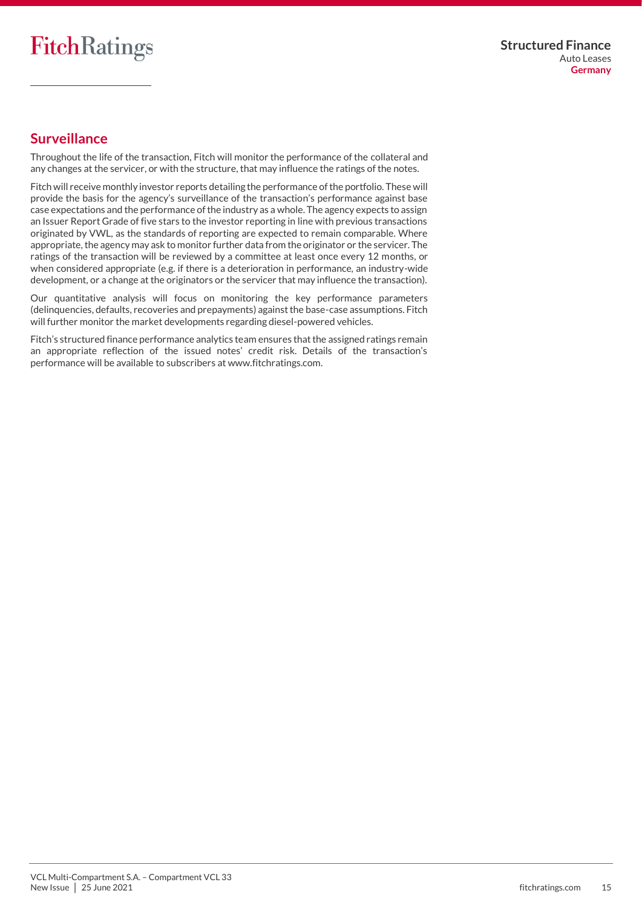# **Surveillance**

Throughout the life of the transaction, Fitch will monitor the performance of the collateral and any changes at the servicer, or with the structure, that may influence the ratings of the notes.

Fitch will receive monthly investor reports detailing the performance of the portfolio. These will provide the basis for the agency's surveillance of the transaction's performance against base case expectations and the performance of the industry as a whole. The agency expects to assign an Issuer Report Grade of five stars to the investor reporting in line with previous transactions originated by VWL, as the standards of reporting are expected to remain comparable. Where appropriate, the agency may ask to monitor further data from the originator or the servicer. The ratings of the transaction will be reviewed by a committee at least once every 12 months, or when considered appropriate (e.g. if there is a deterioration in performance, an industry-wide development, or a change at the originators or the servicer that may influence the transaction).

Our quantitative analysis will focus on monitoring the key performance parameters (delinquencies, defaults, recoveries and prepayments) against the base-case assumptions. Fitch will further monitor the market developments regarding diesel-powered vehicles.

Fitch's structured finance performance analytics team ensures that the assigned ratings remain an appropriate reflection of the issued notes' credit risk. Details of the transaction's performance will be available to subscribers at www.fitchratings.com.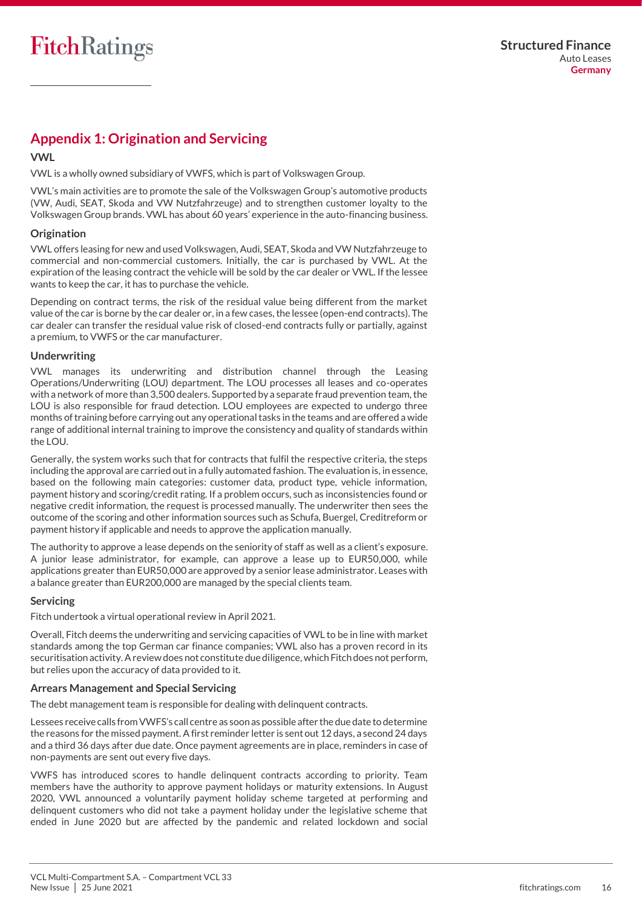# <span id="page-15-0"></span>**Appendix 1: Origination and Servicing**

#### **VWL**

VWL is a wholly owned subsidiary of VWFS, which is part of Volkswagen Group.

VWL's main activities are to promote the sale of the Volkswagen Group's automotive products (VW, Audi, SEAT, Skoda and VW Nutzfahrzeuge) and to strengthen customer loyalty to the Volkswagen Group brands. VWL has about 60 years' experience in the auto-financing business.

#### **Origination**

VWL offers leasing for new and used Volkswagen, Audi, SEAT, Skoda and VW Nutzfahrzeuge to commercial and non-commercial customers. Initially, the car is purchased by VWL. At the expiration of the leasing contract the vehicle will be sold by the car dealer or VWL. If the lessee wants to keep the car, it has to purchase the vehicle.

Depending on contract terms, the risk of the residual value being different from the market value of the car is borne by the car dealer or, in a few cases, the lessee (open-end contracts). The car dealer can transfer the residual value risk of closed-end contracts fully or partially, against a premium, to VWFS or the car manufacturer.

#### **Underwriting**

VWL manages its underwriting and distribution channel through the Leasing Operations/Underwriting (LOU) department. The LOU processes all leases and co-operates with a network of more than 3,500 dealers. Supported by a separate fraud prevention team, the LOU is also responsible for fraud detection. LOU employees are expected to undergo three months of training before carrying out any operational tasks in the teams and are offered a wide range of additional internal training to improve the consistency and quality of standards within the LOU.

Generally, the system works such that for contracts that fulfil the respective criteria, the steps including the approval are carried out in a fully automated fashion. The evaluation is, in essence, based on the following main categories: customer data, product type, vehicle information, payment history and scoring/credit rating. If a problem occurs, such as inconsistencies found or negative credit information, the request is processed manually. The underwriter then sees the outcome of the scoring and other information sources such as Schufa, Buergel, Creditreform or payment history if applicable and needs to approve the application manually.

The authority to approve a lease depends on the seniority of staff as well as a client's exposure. A junior lease administrator, for example, can approve a lease up to EUR50,000, while applications greater than EUR50,000 are approved by a senior lease administrator. Leases with a balance greater than EUR200,000 are managed by the special clients team.

#### **Servicing**

Fitch undertook a virtual operational review in April 2021.

Overall, Fitch deems the underwriting and servicing capacities of VWL to be in line with market standards among the top German car finance companies; VWL also has a proven record in its securitisation activity. A review does not constitute due diligence, which Fitch does not perform, but relies upon the accuracy of data provided to it.

#### **Arrears Management and Special Servicing**

The debt management team is responsible for dealing with delinquent contracts.

Lessees receive calls from VWFS's call centre as soon as possible after the due date to determine the reasons for the missed payment. A first reminder letter is sent out 12 days, a second 24 days and a third 36 days after due date. Once payment agreements are in place, reminders in case of non-payments are sent out every five days.

VWFS has introduced scores to handle delinquent contracts according to priority. Team members have the authority to approve payment holidays or maturity extensions. In August 2020, VWL announced a voluntarily payment holiday scheme targeted at performing and delinquent customers who did not take a payment holiday under the legislative scheme that ended in June 2020 but are affected by the pandemic and related lockdown and social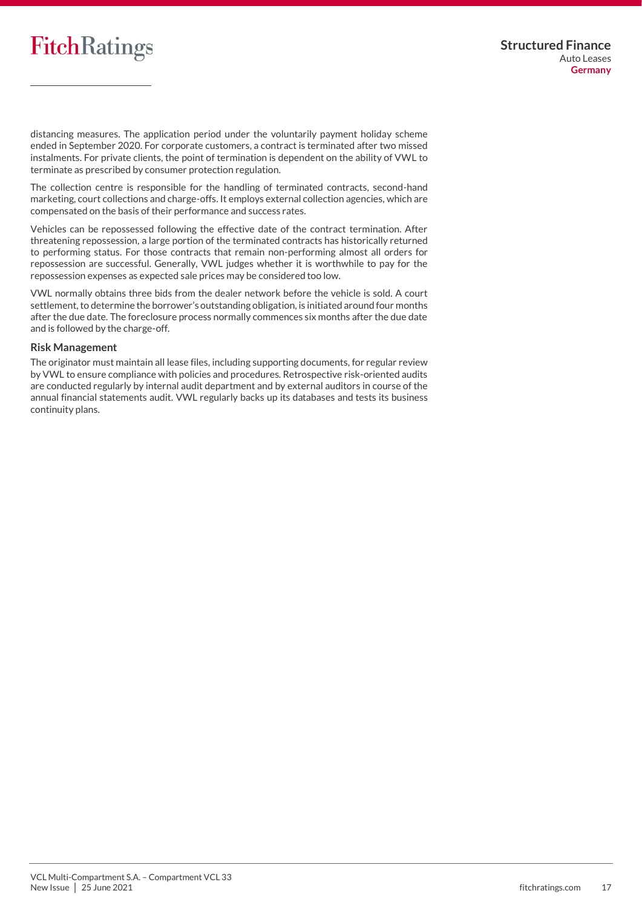# FitchRatings

distancing measures. The application period under the voluntarily payment holiday scheme ended in September 2020. For corporate customers, a contract is terminated after two missed instalments. For private clients, the point of termination is dependent on the ability of VWL to terminate as prescribed by consumer protection regulation.

The collection centre is responsible for the handling of terminated contracts, second-hand marketing, court collections and charge-offs. It employs external collection agencies, which are compensated on the basis of their performance and success rates.

Vehicles can be repossessed following the effective date of the contract termination. After threatening repossession, a large portion of the terminated contracts has historically returned to performing status. For those contracts that remain non-performing almost all orders for repossession are successful. Generally, VWL judges whether it is worthwhile to pay for the repossession expenses as expected sale prices may be considered too low.

VWL normally obtains three bids from the dealer network before the vehicle is sold. A court settlement, to determine the borrower's outstanding obligation, is initiated around four months after the due date. The foreclosure process normally commences six months after the due date and is followed by the charge-off.

#### **Risk Management**

<span id="page-16-0"></span>The originator must maintain all lease files, including supporting documents, for regular review by VWL to ensure compliance with policies and procedures. Retrospective risk-oriented audits are conducted regularly by internal audit department and by external auditors in course of the annual financial statements audit. VWL regularly backs up its databases and tests its business continuity plans.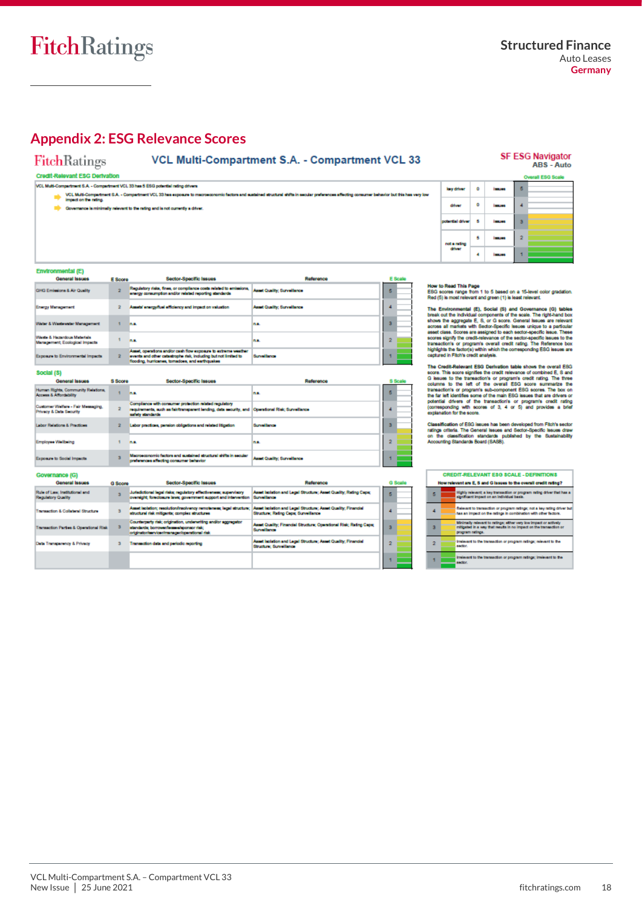**SF ESG Navigator** 

ARS - Auto

# <span id="page-17-0"></span>**Appendix 2: ESG Relevance Scores**

#### **FitchRatings**

### VCL Multi-Compartment S.A. - Compartment VCL 33

#### Credit-Relevant ESG Derivation

**Janet Quality: Surveillance** 

h.

na.

Surveillance

VCL Multi-Compartment S.A. - Compartment VCL 33 has 5 ESG potential rating difvers

**It-Compartment S.A. - Compartment VCL 33 has 5 ESG potential rating drivers**<br>VCL Multi-Compartment S.A. - Compartment VCL 33 has exposure to m<br>Impact on the rating. .<br>Internit shifts in secular preferences affecting consumer behavior but this has very low.

Covernance is minimally relevant to the rating and is not currently a driver

E Score

 $\mathbf{z}^{\top}$ 

¥. ۰.

 $\overline{2}$ 

 $\tau$  as

|                  |     |                  |   | <b>Overall ESG Scale</b> |
|------------------|-----|------------------|---|--------------------------|
| key driver       | ۰   | 100303           | 5 |                          |
| ditver           | ۰   | 100303           |   |                          |
| potential driver | - 5 | <b>INCHES</b>    | з |                          |
| not a rating     | 5   | <b>I MALLAST</b> | 2 |                          |
| diver            |     | <b>INCHES</b>    |   |                          |
|                  |     |                  |   |                          |

 $\overline{\phantom{0}}$ 

 $\overline{\mathbf{4}}$ 

 $\bar{\bf 3}$ 

 $\bar{2}$ 

À.

How to Read This Page<br>ESG scores range from 1 to 5 based on a 15-level color gradation.<br>Red (5) is most relevant and green (1) is least relevant.

The Environmental (E), Social (S) and Governance (O) tables<br>break out the individual components of the scale. The right-hand box<br>above the aggregate E, S, or G societ. General festers are relevant<br>access all markets with S

Exploration and the control of the control of the credit Relevant ESQ<br>soort. This score signifies the credit relevance of combined E, S and<br>G issues to the transaction's or program's credit reling. The three<br>columns to the

Classification of ESG issues has been developed from Fitch's sector<br>ratings offeris. The General issues and Sector-Specific issues draw<br>on the classification standards published by the Sustainability<br>Accounting Standards B

|   | <b>CREDIT-RELEVANT ESG SCALE - DEFINITIONS</b><br>How relevant are E, S and G issues to the overall credit rating?                                         |
|---|------------------------------------------------------------------------------------------------------------------------------------------------------------|
| 5 | Highly relevant: a key transaction or program rating driver that has a<br>significant impact on an individual basis.                                       |
|   | Relevant to transaction or program ratings; not a key rating driver but<br>has an impact on the ratings in combination with other factors.                 |
| а | Minimally relevant to ratings: ether very low impact or actively<br>mitigated in a way that results in no impact on the transaction or<br>program ratings. |
| 2 | irrelevant to the transaction or program ratings; relevant to the<br>sactor.                                                                               |
|   | irrelevant to the transaction or program ratings; irrelevant to the<br>sactor.                                                                             |

#### Social (S)

**Environmental (E)** General Issue

GHG Emissions & Air Quality

.<br>Vater & Wastewater Management

.<br>Weste & Hazardous Materials<br>Management: Ecological Impacts

Exposure to Environmental Impacts

**nergy Management** 

| <b>General Issues</b>                                                    | S Score | Sector-Specific Issues                                                                                                                                                         | Reference                          |   | <b>S</b> Scale |
|--------------------------------------------------------------------------|---------|--------------------------------------------------------------------------------------------------------------------------------------------------------------------------------|------------------------------------|---|----------------|
| Human Rights, Community Relations.<br>Access & Affordability             |         | <b>D.A.</b>                                                                                                                                                                    | n.e.                               | в |                |
| Customer Welfare - Fair Messaging.<br><b>Privacy &amp; Data Security</b> |         | Complance with consumer protection related regulatory<br>requirements, such as fair/transparent lending, data security, and Operational Risk; Surveillance<br>safety standards |                                    |   |                |
| <b>Labor Relations &amp; Practices</b>                                   |         | Labor practices, pension obligations and related litigation                                                                                                                    | <b>Surveillance</b>                | з |                |
| <b>Employee Wellbeing</b>                                                |         | <b>DAL</b>                                                                                                                                                                     | n.e.                               |   |                |
| Exposure to Social Impacts                                               |         | Macrosconomic factors and sustained structural shifts in secular<br>preferences affecting consumer behavior                                                                    | <b>Asset Quality: Surveillance</b> |   |                |

Sector-Specific Issues

2 Assets' energy/fuel efficiency and impact on valuation

Asset, operations and/or cash flow exposure to extreme weat<br>events and other catastrophe risk, including but not limited to<br>flooding, humcanes, tornadoes, and earthquakes

Regulatory risks, fines, or compliance costs related to emissions. Asset Quality; Surveillance energy consumption and/or related reporting standards

| <b>GOVERNMICE RSI</b>                                |                |                                                                                                                                                            |                                                                                                       |  |     |  |
|------------------------------------------------------|----------------|------------------------------------------------------------------------------------------------------------------------------------------------------------|-------------------------------------------------------------------------------------------------------|--|-----|--|
| <b>General Issues</b>                                | <b>G</b> Score | Sector-Specific Issues                                                                                                                                     | Reference                                                                                             |  | G S |  |
| Rule of Law, Institutional and<br>Regulatory Quality |                | Jurisdictional legal risks; regulatory effectiveness; supervisory<br>oversight; foreclosure laws; government auggort and intervention                      | Asset Isolation and Legal Structure: Asset Quality: Rating Cape:<br><b>Burveillance</b>               |  | Б   |  |
| <b>Transaction &amp; Collaboral Structure</b>        |                | Asset includers resolution/insolvency remoterance legal structure:<br>structural risk mitigants; complex structures                                        | Asset Isolation and Legal Structure; Asset Quality; Financial<br>Structure: Rating Capic Surveillance |  |     |  |
| <b>Transaction Parties &amp; Operational Risk</b>    |                | Counterparty risk; origination, underwriting and/or aggregator<br>standards: borrower/lessee/sponsor risk:<br>originator/asrvicer/manager/coenstional risk | Asset Quality; Financial Structure; Operational Risk; Rating Caps;<br><b>Surveillance</b>             |  | з   |  |
| Data Transparency & Privacy                          |                | Transaction data and periodic reporting                                                                                                                    | Asset leplation and Legal Structure: Asset Quality: Financial<br><b>Structure: Surveillance</b>       |  | 2   |  |
|                                                      |                |                                                                                                                                                            |                                                                                                       |  |     |  |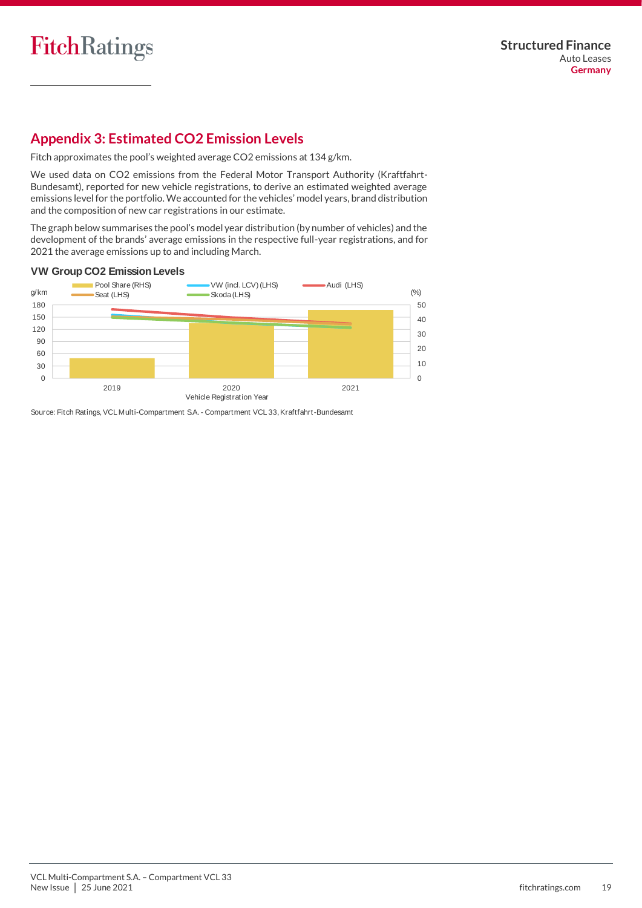# <span id="page-18-0"></span>**Appendix 3: Estimated CO2 Emission Levels**

Fitch approximates the pool's weighted average CO2 emissions at 134 g/km.

We used data on CO2 emissions from the Federal Motor Transport Authority (Kraftfahrt-Bundesamt), reported for new vehicle registrations, to derive an estimated weighted average emissions level for the portfolio. We accounted for the vehicles' model years, brand distribution and the composition of new car registrations in our estimate.

The graph below summarises the pool's model year distribution (by number of vehicles) and the development of the brands' average emissions in the respective full-year registrations, and for 2021 the average emissions up to and including March.

#### **VW Group CO2 Emission Levels**



Source: Fitch Ratings, VCL Multi-Compartment S.A. - Compartment VCL 33, Kraftfahrt-Bundesamt